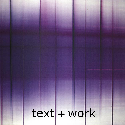# text + work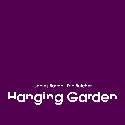## Hanging Garden

James Barron + Eric Butcher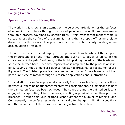James Barron + Eric Butcher Hanging Garden

Spaces; in, out, around (essay title)

The work in this show is an attempt at the selective articulation of the surfaces of aluminium structures through the use of paint and resin. It has been made through a process governed by specific rules. A thin transparent monochrome is spread across the surface of the aluminium and then stripped off, using a blade drawn across the surface. This procedure is then repeated, slowly building up an accumulation of residues.

The outcome is determined largely by the physical characteristics of the support; the imperfections of the metal surface, the burr of its edge; or shifts in the consistency of the paint/resin mix, or the build up along the edge of the blade as it strips the surface bare. Each tiny imperfection is amplified by the process of stripping, leaving a ridge of denser colour to register its presence; a 'register of failure' if you will. The finished piece is an accumulation of what I have learnt about that particular piece of metal through successive applications and subtractions.

In installation the surfaces project dramatically from the wall or floor, the transitions between surfaces being fundamental creative considerations, as important as how the painted surface has been achieved. The space around the painted surface is engaged, incorporating it into the work, creating a physical rather than pictorial presence. Through thin veils of translucent pigment the aluminium reflects light. Consequently the surface responds dynamically to changes in lighting conditions and the movement of the viewer, demanding active interaction.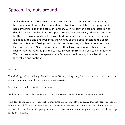### Spaces; in, out, around

And with your work the question of scale quickly surfaces. Large though it may be, monumental, muscular even and in the tradition of sculpture for a purpose, it has something also of the scale of jewellery with its painterliness and attention to detail. There is the detail of the support, rugged and necessary. There is the detail for the eye. Colour bands and tensions to draw in, seduce. This detail, the singular, is offset by the size and presence, the weight, of the pieces inhabiting the space, the room. Taut and flexing their muscle the pieces cling to, clamber over or cover like vine the walls. Some are as heavy as they look. Some appear heavier than in reality they are. And the painted surface flickers, mirrors and smiles enigmatically. We, the viewer, enter the space where fable and the forensic, the scientific, the fact collide and contrast.

#### text+work

The challenge of the radically physical remains. We are, as a species, determined to push the boundaries: onwards, outwards, up. This is our destiny, our necessity.

Sometimes we find consolation in the near.

And we talk. Or we make. We have a conversation so that we may hear ourselves more clearly.

This text is the result of just such a conversation. A long, slow conversation between two people leading very different, separate lives; a conversation between two practices, with long intervals of silence, absence. The world going on outside. It has been an interesting journey and has thrown up many possibilities.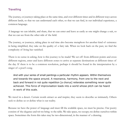#### **Travelling**

The journey, or journeys taking place at the same time, and over different times and in different ways across different lands, so that we can understand each other, so that we can find, in our individual experience, a common language.

A language we can inhabit, and share, that we can enter and leave as easily as one might change a suit, so that we can see from the other side of the field.

The journey, or journeys, taking place in real time also become metaphors for another kind of existence: in being simplified, they take on the quality of a fairy tale. When we look back on the past, we find the complexity of living has vanished.

There is no sense in asking, how is this journey to be made? We set off from different points and cross different regions, enter and leave different zones to arrive at separate destinations at different times of the day. If there is to be a common resolution, perhaps it should be found in the interpretation by a singer of a poet's song.

And with your series of small paintings a particular rhythm appears. Within themselves and towards the space around. A resonance, harmony, from one to the next and back and forward in not quite repetition [a chorus] reiterates something never quite achieved. This force of improvisation leads into a world whose pitch can be heard in work of this scale.

We travel in a desert. Certain words attract us and inspire; they seem to describe us intimately. Others seek to define us or define what is our reality.

Because we have the power of language and must fill the available space, we must be precise. Our poetry consists of the elegance and wit we bring to the table. We take space, we occupy; we define ourselves within space. Sometimes the form this takes may be two-dimensional, in the manner of a drawing.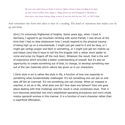My aunt once said: I have no desire to return to Spain. I knew it when travelling in an open car with Uncle Geoffrey from village to village, all the way from Perpignan to Marbella, in those days a tiny, sleepy fishing village, at most. It was just after the war. 1947, or 1949 I think.

And sometimes the form this takes is that of a reading. The kind of statement that makes you sit up and think.

(Eric) I'm extremely frightened of heights. Some years ago, when I lived in Germany, I agreed to go mountain climbing with some friends. I was struck at the time that I had no idea whatsoever how I would respond to the physical trauma of being high up on a mountainside. I might just get used to it and be okay, or I might get vertigo proper and faint or something, or I might just get ten metres up and freeze (and they'd have to call the fire brigade with a rather short ladder to come and prise my fingers off the rock face). Whatever the result, that is the sort of experience which provides a better understanding of oneself. But it's also an opportunity to create something out of that, to change, to develop something new out of the raw materials which nature has given us in our characters.

I think style in art is rather like style in life, a function of how one responds to something when fundamentally challenged. It's not something one can put on and take off like an overcoat. It's not something one can choose. When an impasse is reached, in art as in life, what does one do? How does one behave? How one goes about dealing with that challenge and the result is what constitutes style. That in turn becomes absorbed into one's established operating procedures and one's whole modus operandi evolves in this manner. It is a function of one's character rather than a superficial affectation.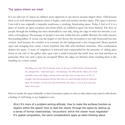#### The space where we meet

It is an odd sort of space; its oddness more apparent as one moves around, lingers there. Odd because there is no well-defined perimeter where it begins, ends and touches another space. This space is porous. I am told it was originally a tarpaulin warehouse, a working, functioning space. Today, I feel as if it is a place of transit: an open reception area from which an exhibition space has been claimed. The flow of people through the building has been channelled to one side, along the edge in what has become a corridor, a throughway. The passage of people is not only visible but also audible. Because the walls, massive freestanding pillars of wood, run the height of two floors, the movement is not only horizontal but also vertical. And because the corridor is in constant use the background is also foreground. Doors pushed open and swinging shut create a basic backbeat that falls with rhythmic insistence. This combination defines the space. A sense of emptiness is mirrored and compounded by the presence of sliding glass doors at one end of the gallery that open onto a small courtyard that itself does not lead anywhere in particular. How can such a space be occupied? When the edges are blurred, when standing there is like standing on a street corner.

> Travelling across the land, he became aware of the way in which history, and human life, was stamped into – impressed upon – the landscape. The hills and the valleys, the woods and fields, farms and villages, and the towns and cities were so many layers of life, of thought, that had accumulated before him and as he sped through all this he reflected upon the accident of birth that had offered him the chance to see it all as spectator rather than actor.

How to render the space habitable so that it becomes a place to visit, so that others may enter it with desire, a feeling of well-being or joy, happiness even.

(Eric) It's more of a problem-solving attitude. How to make the surfaces function as objects within the space? How to lead the viewer through the space by setting up a series of formal relationships, 'encounters' which the viewer must negotiate? It's spatial composition, the same considerations apply as when thinking about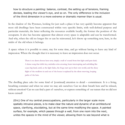how to structure a painting: balance, contrast, the setting up of tensions, framing devises, leading the viewer's eye, and so on. The only difference is the inclusion of the third dimension in a more extreme or dramatic manner than is usual.

In the shadow of the Pyrenees, looking for just such a place it has very quickly become apparent that most old dwellings have been constructed within very specific limits, with well-defined purpose and particular materials, the latter reflecting the resources available locally, the former the position of the occupants. It also has become apparent that almost every space is adaptable and can be transformed. And why, when the old no longer fits or can be reinvented, let's throw up something new, here, in the midst of the old where it belongs.

A space: where it is possible to enter, stay for some time, and go without having to leave any kind of impression. Where the thought that it is necessary to leave an impression does not occur.

> There is no dawn chorus here now, simply a wall of sound from first light until past dusk. A dense song that shifts key, melodies criss-crossing, beats interrupting and unfolding like a jazz big band, until, as the light fades, the frogs start up in their own world, and the dizzy flight of the swallows in and out of the house is replaced by the silent swerving, looping paths of the bats.

The dwelling place asks for some kind of [continual] attention to detail – commitment. It is a living, breathing container and when we enter we may ask ourselves: Can we draw breath here and be relaxed, without emotion? Can we can find a part of ourselves, or express something of our nature that we did not know existed?

(Eric) One of my central preoccupations, particularly in the larger scale more spatially intrusive pieces, is to make clear the nature and dynamic of an architectural space, clarifying, elucidating, but at the same time modifying the space. A painted surface, for example, which passes through a wall, from one room into the next, unites the spaces in the mind of the viewer, allowing them to see beyond what is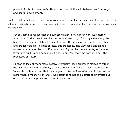present. It also focuses one's attention on the relationship between surface, object and spatial environment.

And if a wall is falling down, how do we compensate? I am thinking here about borders, boundaries, edges of particular spaces – I could also be thinking of elements filling or occupying space. About making work.

(Eric) I came to realise that the subject matter in my earlier work was merely an excuse. At the time I lived by the sea and used to go for long walks along the beach, rekindling a childhood fascination with the ways in which nature weathers and erodes objects. Not just objects, but processes. The way sand and shingle, for example, are endlessly shifted and reconfigured by the elements, successive layers are built up and deposits left and so on. You know the sort of thing - the processes of nature.

I began to look at them more closely. Eventually these processes started to affect the way I behaved in the studio, slowly creeping into how I manipulated the paint. Indeed to such an extent that they began to take the form of an end in themselves rather than a means to an end. I was attempting not to illustrate their effects but emulate the actual processes, to act like nature.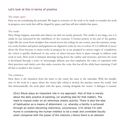#### Let's look at this in terms of practice

#### The empty space

Here we are considering the potential. We begin to conceive of the work to be made or consider the work in progress, now work that will be shaped by space, and that will also inhabit that space.

#### The studio

Here things happen, materials and objects are laid out neatly, precisely. The studio is not large, nor is it small, its size increased by the orderliness of the contents. A former pottery at the end of the garden. Light fills the room from skylights that extend across the ceiling. In one corner, near the entrance, scrapers, tools, brushes and paints and pigments are aligned in order by size or colour. If it is difficult to move about the floor because so many works in progress lie or are propped at various stages of completion, the visitor is quickly disabused of any sense of chaos because there is space enough to address each work in turn. Here work is initiated, drawings laying down the outline and structure; and here the work is developed through a series of increasingly delicate acts that emphasise the value of repetition with their precision and clarity; acts that make concrete the voice that has all the while been maturing. Until all that is needed is the context.

#### The exhibition

Here there is the transition from the inner to the outer; the mass to the articulate. With the installation of the work in a space where the viewer [the other] is invited, the practice enters the world. And that democratically: the work plays with the space, existing alongside the viewer. A dialogue is created.

(Eric) Ritual plays an important role in my approach. Part of that is merely about the daily practice of painting, (or anything else for that matter). The need to impose order on an otherwise chaotic activity. There is also the idea of habituation as a means of attainment, i.e. whereby a facility is achieved through an action becoming instinctive, unconscious. (I'm afraid I'm with Hume in considering the human intellect to be a weak and unreliable faculty when compared with the power of the instincts.) Hence there is an element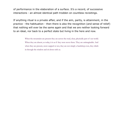of performance in the elaboration of a surface. It's a record, of successive interactions - an almost identical path trodden on countless revisitings.

If anything ritual is a private affair, and if the aim, partly, is attainment, in the practice - the habituation - then there is also the recognition (and sense of relief) that nothing will ever be the same again and that we are neither looking forward to an ideal, nor back to a perfect state but living in the here and now.

> When the mountains are present they are across the road, clear, physically part of our world. When they are absent, as today, it is as if they were never there. They are unimaginable. And when they are present, snow-capped or not, they are not simply a backdrop even, they climb in through the window and sit down with us.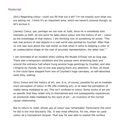#### Postscript

(Eric) Regarding colour: could you fill that out a bit? I'm not exactly sure what you are asking me. I think it's an important area, which we haven't covered though, so let's pursue it.

(James) Colour, yes, perhaps we can look at Judd, since he is somebody who interests us both. At one point he talks about colour and the history of art – colour as the knowledge of that history. I am thinking now of something he wrote: "The last real picture of real objects in a real world was painted by Courbet. After that no one was sure about the real world, so that when it came to keeping a color or an undescriptive shape at the cost of accurate representation, the latter lost."  $1$ 

I am reminded of an incident when visiting the Musée D'Orsay not so long ago. There was a temporary exhibition and the queues were stretching back and around the entrance hall where hung several huge paintings by Courbet, and also L'Origine du monde, but no one was paying them any attention. In fact, all those in line could have stepped from one of Courbet's huge canvases, so self-absorbed were they, waiting.

(Eric) Colour and the history of art, yes. It is, of course, possible for art to mediate one's perception of colour in life (life imitating art), or at least the perception of reality being mediated by art. This isn't confined to colour. Some works of art are so specific that they relate only to themselves and one subsequently experiences an emotional state mediated by the work of art – an inversion of the normal causal relationship.

But to return to Judd, whose use of colour was remarkable. Particularly the work he did in the mid 60s/early 70s. It was most effective, for me, when he used colour as a transparent lacquer. That way he was able to exploit the surface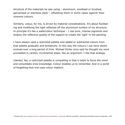structure of the materials he was using – aluminium, anodised or brushed, galvanised or stainless steel – offsetting them in some cases against their inherent colours.

Similarly, colour, for me, is driven by material considerations. It's about facilitating and modifying the light reflected off the aluminium surface of my structure. In principle it's like a watercolour technique – I use pure, intense pigments and employ the reflective quality of the support to create the 'light' in the painting.

I have always used a restricted palette and added or subtracted colours from that palette gradually and tentatively. In this way the colours I use have slowly evolved over a long period of time. Michael Porter once said he thought my work proceeded in careful, incremental steps, like an argument. I like that analogy.

(James) Yes, a restricted palette is compelling in that it helps to focus the mind and consolidate ones knowledge. Colour enables us to remember. And in a world of forgetting how one uses colour matters.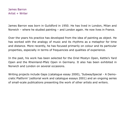James Barron Artist + Writer

James Barron was born in Guildford in 1950. He has lived in London, Milan and Norwich – where he studied painting – and London again. He now lives in France.

Over the years his practice has developed from the idea of painting as object. He has worked with the analogy of music and its rhythms as a metaphor for time and distance. More recently, he has focused primarily on colour and its particular properties, especially in terms of frequencies and qualities of experience.

In the past, his work has been selected for the Oriel Mostyn Open, Kettle's Yard Open and the Rheinland-Pfalz Open in Germany. It also has been exhibited in Norwich and London on several occasions.

Writing projects include Gaps (catalogue essay 2000), 'SubwaySpecial - A Democratic Platform' (editorial work and catalogue essays 2001) and an ongoing series of small-scale publications presenting the work of other artists and writers.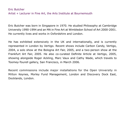#### Eric Butcher Artist + Lecturer in Fine Art, the Arts Institute at Bournemouth

Eric Butcher was born in Singapore in 1970. He studied Philosophy at Cambridge University 1990-1994 and an MA in Fine Art at Wimbledon School of Art 2000-2001. He currently lives and works in Oxfordshire and London.

He has exhibited extensively in the UK and internationally, and is currently represented in London by Vertigo. Recent shows include Carbon Candy, Vertigo, 2004, a solo show at the Bologna Art Fair, 2005, and a two-person show at the Frankfurt Art Fair, 2005. He also co-curated Definite Article at Vertigo, 2005, showing alongside Roger Ackling, Marc Vaux and Cathy Wade, which travels to Toomey-Tourell gallery, San Francisco, in March 2006.

Recent commissions include major installations for the Open University in Milton Keynes, Morley Fund Management, London and Discovery Dock East, Docklands, London.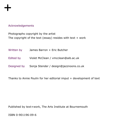#### Acknowledgements

Photographs copyright by the artist The copyright of the text (essay) resides with text  $+$  work

| Written by  | James Barron + Eric Butcher            |
|-------------|----------------------------------------|
| Edited by   | Violet McClean / vmcclean@aib.ac.uk    |
| Designed by | Sonja Stender / design@jazznoons.co.uk |

Thanks to Annie Poulin for her editorial imput + development of text

Published by text+work, The Arts Institute at Bournemouth

ISBN 0-901196-09-6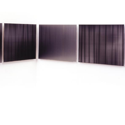